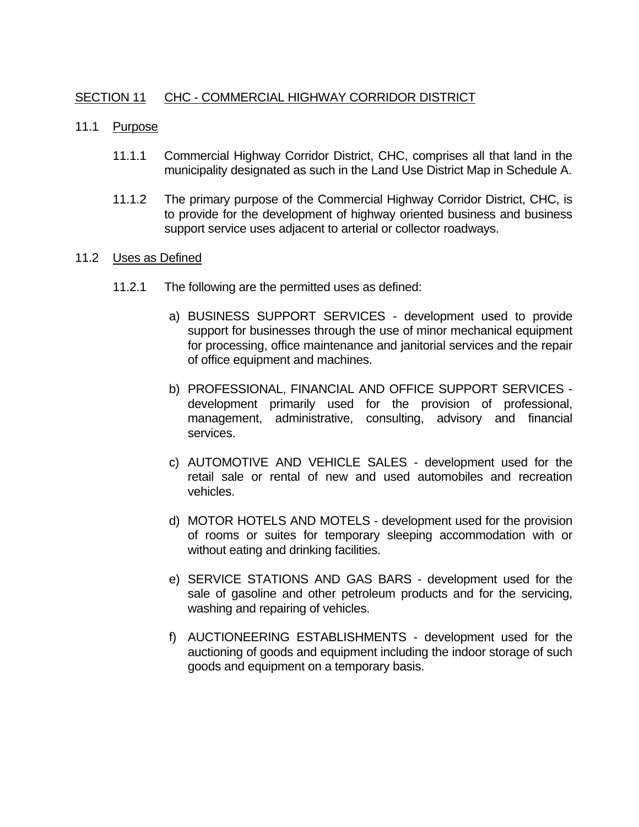# SECTION 11 CHC - COMMERCIAL HIGHWAY CORRIDOR DISTRICT

- 11.1 Purpose
	- 11.1.1 Commercial Highway Corridor District, CHC, comprises all that land in the municipality designated as such in the Land Use District Map in Schedule A.
	- 11.1.2 The primary purpose of the Commercial Highway Corridor District, CHC, is to provide for the development of highway oriented business and business support service uses adjacent to arterial or collector roadways.

### 11.2 Uses as Defined

- 11.2.1 The following are the permitted uses as defined:
	- a) BUSINESS SUPPORT SERVICES development used to provide support for businesses through the use of minor mechanical equipment for processing, office maintenance and janitorial services and the repair of office equipment and machines.
	- b) PROFESSIONAL, FINANCIAL AND OFFICE SUPPORT SERVICES development primarily used for the provision of professional, management, administrative, consulting, advisory and financial services.
	- c) AUTOMOTIVE AND VEHICLE SALES development used for the retail sale or rental of new and used automobiles and recreation vehicles.
	- d) MOTOR HOTELS AND MOTELS development used for the provision of rooms or suites for temporary sleeping accommodation with or without eating and drinking facilities.
	- e) SERVICE STATIONS AND GAS BARS development used for the sale of gasoline and other petroleum products and for the servicing, washing and repairing of vehicles.
	- f) AUCTIONEERING ESTABLISHMENTS development used for the auctioning of goods and equipment including the indoor storage of such goods and equipment on a temporary basis.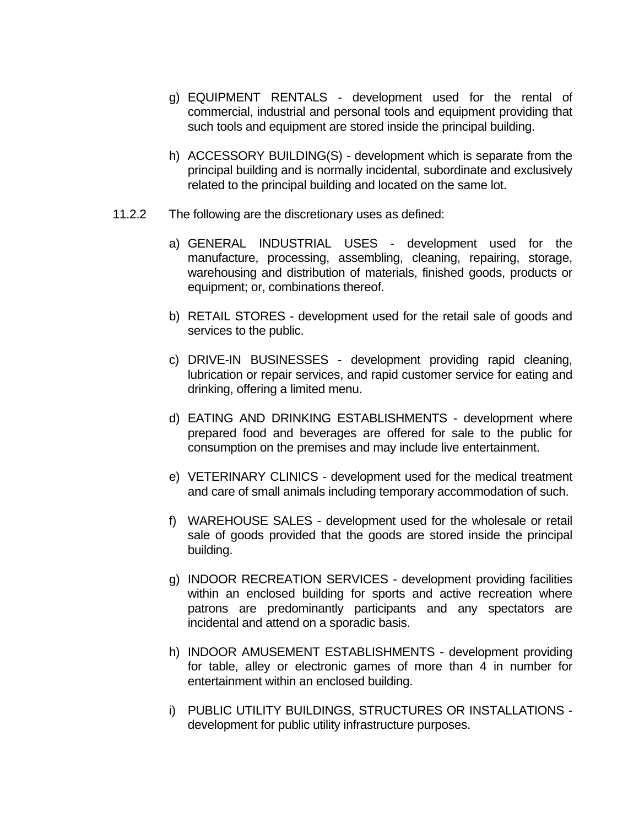- g) EQUIPMENT RENTALS development used for the rental of commercial, industrial and personal tools and equipment providing that such tools and equipment are stored inside the principal building.
- h) ACCESSORY BUILDING(S) development which is separate from the principal building and is normally incidental, subordinate and exclusively related to the principal building and located on the same lot.
- 11.2.2 The following are the discretionary uses as defined:
	- a) GENERAL INDUSTRIAL USES development used for the manufacture, processing, assembling, cleaning, repairing, storage, warehousing and distribution of materials, finished goods, products or equipment; or, combinations thereof.
	- b) RETAIL STORES development used for the retail sale of goods and services to the public.
	- c) DRIVE-IN BUSINESSES development providing rapid cleaning, lubrication or repair services, and rapid customer service for eating and drinking, offering a limited menu.
	- d) EATING AND DRINKING ESTABLISHMENTS development where prepared food and beverages are offered for sale to the public for consumption on the premises and may include live entertainment.
	- e) VETERINARY CLINICS development used for the medical treatment and care of small animals including temporary accommodation of such.
	- f) WAREHOUSE SALES development used for the wholesale or retail sale of goods provided that the goods are stored inside the principal building.
	- g) INDOOR RECREATION SERVICES development providing facilities within an enclosed building for sports and active recreation where patrons are predominantly participants and any spectators are incidental and attend on a sporadic basis.
	- h) INDOOR AMUSEMENT ESTABLISHMENTS development providing for table, alley or electronic games of more than 4 in number for entertainment within an enclosed building.
	- i) PUBLIC UTILITY BUILDINGS, STRUCTURES OR INSTALLATIONS development for public utility infrastructure purposes.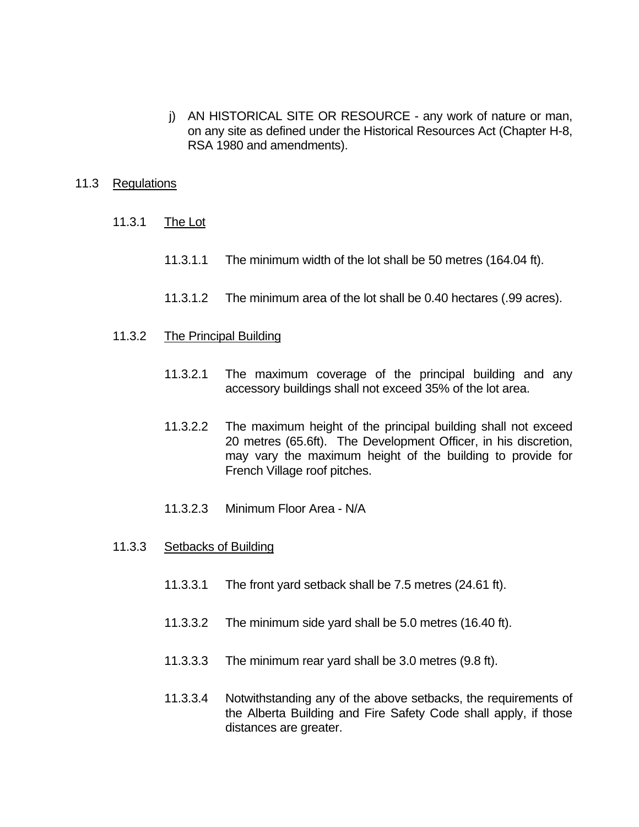j) AN HISTORICAL SITE OR RESOURCE - any work of nature or man, on any site as defined under the Historical Resources Act (Chapter H-8, RSA 1980 and amendments).

### 11.3 Regulations

- 11.3.1 The Lot
	- 11.3.1.1 The minimum width of the lot shall be 50 metres (164.04 ft).
	- 11.3.1.2 The minimum area of the lot shall be 0.40 hectares (.99 acres).
- 11.3.2 The Principal Building
	- 11.3.2.1 The maximum coverage of the principal building and any accessory buildings shall not exceed 35% of the lot area.
	- 11.3.2.2 The maximum height of the principal building shall not exceed 20 metres (65.6ft). The Development Officer, in his discretion, may vary the maximum height of the building to provide for French Village roof pitches.
	- 11.3.2.3 Minimum Floor Area N/A
- 11.3.3 Setbacks of Building
	- 11.3.3.1 The front yard setback shall be 7.5 metres (24.61 ft).
	- 11.3.3.2 The minimum side yard shall be 5.0 metres (16.40 ft).
	- 11.3.3.3 The minimum rear yard shall be 3.0 metres (9.8 ft).
	- 11.3.3.4 Notwithstanding any of the above setbacks, the requirements of the Alberta Building and Fire Safety Code shall apply, if those distances are greater.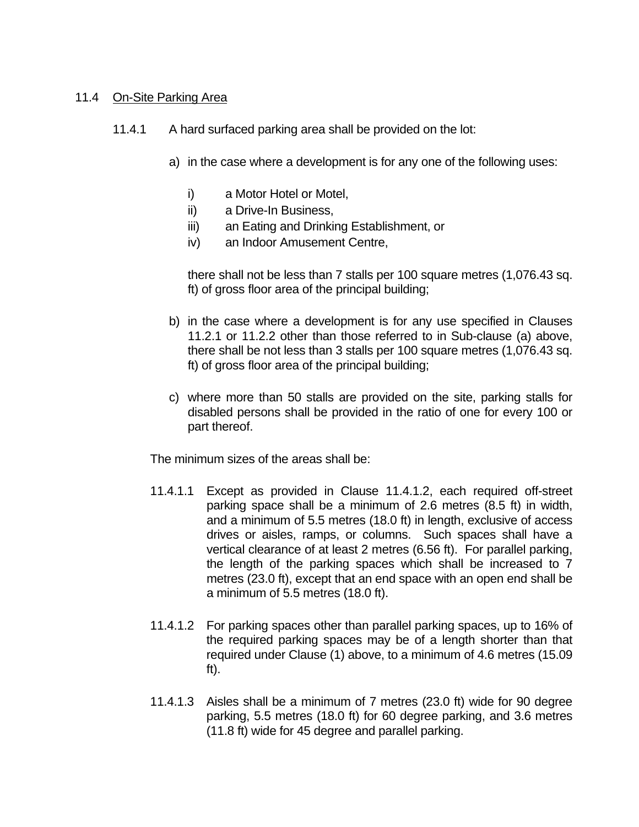### 11.4 On-Site Parking Area

- 11.4.1 A hard surfaced parking area shall be provided on the lot:
	- a) in the case where a development is for any one of the following uses:
		- i) a Motor Hotel or Motel,
		- ii) a Drive-In Business,
		- iii) an Eating and Drinking Establishment, or
		- iv) an Indoor Amusement Centre,

 there shall not be less than 7 stalls per 100 square metres (1,076.43 sq. ft) of gross floor area of the principal building;

- b) in the case where a development is for any use specified in Clauses 11.2.1 or 11.2.2 other than those referred to in Sub-clause (a) above, there shall be not less than 3 stalls per 100 square metres (1,076.43 sq. ft) of gross floor area of the principal building;
- c) where more than 50 stalls are provided on the site, parking stalls for disabled persons shall be provided in the ratio of one for every 100 or part thereof.

The minimum sizes of the areas shall be:

- 11.4.1.1 Except as provided in Clause 11.4.1.2, each required off-street parking space shall be a minimum of 2.6 metres (8.5 ft) in width, and a minimum of 5.5 metres (18.0 ft) in length, exclusive of access drives or aisles, ramps, or columns. Such spaces shall have a vertical clearance of at least 2 metres (6.56 ft). For parallel parking, the length of the parking spaces which shall be increased to 7 metres (23.0 ft), except that an end space with an open end shall be a minimum of 5.5 metres (18.0 ft).
- 11.4.1.2 For parking spaces other than parallel parking spaces, up to 16% of the required parking spaces may be of a length shorter than that required under Clause (1) above, to a minimum of 4.6 metres (15.09 ft).
- 11.4.1.3 Aisles shall be a minimum of 7 metres (23.0 ft) wide for 90 degree parking, 5.5 metres (18.0 ft) for 60 degree parking, and 3.6 metres (11.8 ft) wide for 45 degree and parallel parking.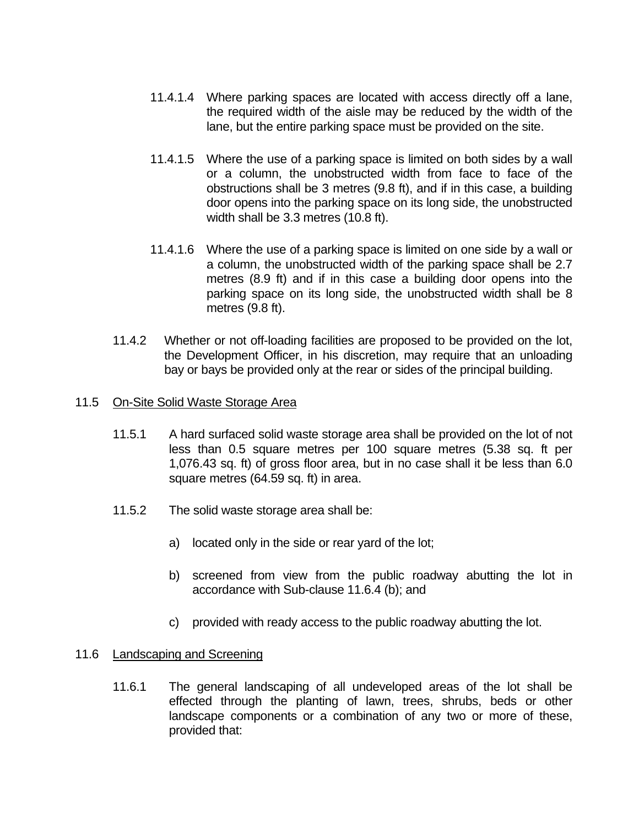- 11.4.1.4 Where parking spaces are located with access directly off a lane, the required width of the aisle may be reduced by the width of the lane, but the entire parking space must be provided on the site.
- 11.4.1.5 Where the use of a parking space is limited on both sides by a wall or a column, the unobstructed width from face to face of the obstructions shall be 3 metres (9.8 ft), and if in this case, a building door opens into the parking space on its long side, the unobstructed width shall be 3.3 metres (10.8 ft).
- 11.4.1.6 Where the use of a parking space is limited on one side by a wall or a column, the unobstructed width of the parking space shall be 2.7 metres (8.9 ft) and if in this case a building door opens into the parking space on its long side, the unobstructed width shall be 8 metres (9.8 ft).
- 11.4.2 Whether or not off-loading facilities are proposed to be provided on the lot, the Development Officer, in his discretion, may require that an unloading bay or bays be provided only at the rear or sides of the principal building.

# 11.5 On-Site Solid Waste Storage Area

- 11.5.1 A hard surfaced solid waste storage area shall be provided on the lot of not less than 0.5 square metres per 100 square metres (5.38 sq. ft per 1,076.43 sq. ft) of gross floor area, but in no case shall it be less than 6.0 square metres (64.59 sq. ft) in area.
- 11.5.2 The solid waste storage area shall be:
	- a) located only in the side or rear yard of the lot;
	- b) screened from view from the public roadway abutting the lot in accordance with Sub-clause 11.6.4 (b); and
	- c) provided with ready access to the public roadway abutting the lot.

#### 11.6 **Landscaping and Screening**

 11.6.1 The general landscaping of all undeveloped areas of the lot shall be effected through the planting of lawn, trees, shrubs, beds or other landscape components or a combination of any two or more of these, provided that: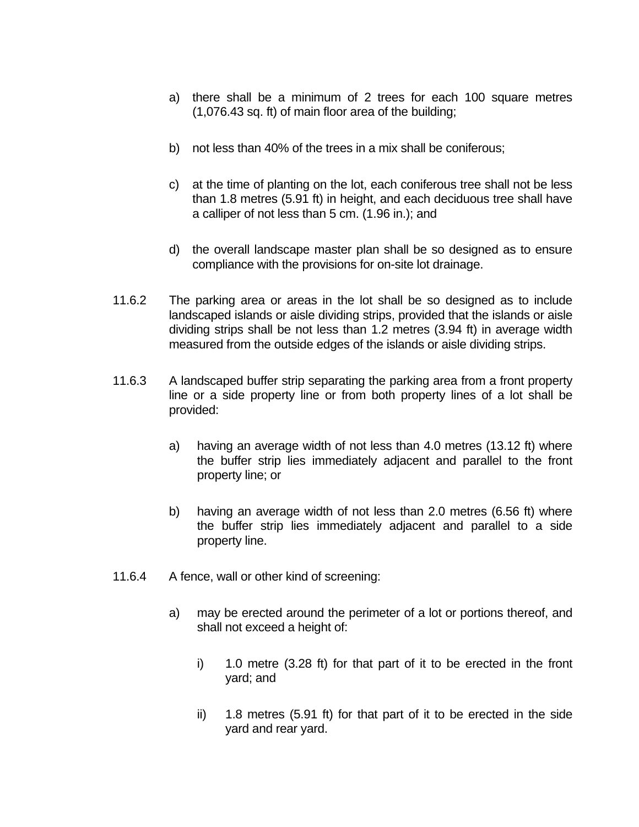- a) there shall be a minimum of 2 trees for each 100 square metres (1,076.43 sq. ft) of main floor area of the building;
- b) not less than 40% of the trees in a mix shall be coniferous;
- c) at the time of planting on the lot, each coniferous tree shall not be less than 1.8 metres (5.91 ft) in height, and each deciduous tree shall have a calliper of not less than 5 cm. (1.96 in.); and
- d) the overall landscape master plan shall be so designed as to ensure compliance with the provisions for on-site lot drainage.
- 11.6.2 The parking area or areas in the lot shall be so designed as to include landscaped islands or aisle dividing strips, provided that the islands or aisle dividing strips shall be not less than 1.2 metres (3.94 ft) in average width measured from the outside edges of the islands or aisle dividing strips.
- 11.6.3 A landscaped buffer strip separating the parking area from a front property line or a side property line or from both property lines of a lot shall be provided:
	- a) having an average width of not less than 4.0 metres (13.12 ft) where the buffer strip lies immediately adjacent and parallel to the front property line; or
	- b) having an average width of not less than 2.0 metres (6.56 ft) where the buffer strip lies immediately adjacent and parallel to a side property line.
- 11.6.4 A fence, wall or other kind of screening:
	- a) may be erected around the perimeter of a lot or portions thereof, and shall not exceed a height of:
		- i) 1.0 metre (3.28 ft) for that part of it to be erected in the front yard; and
		- ii) 1.8 metres (5.91 ft) for that part of it to be erected in the side yard and rear yard.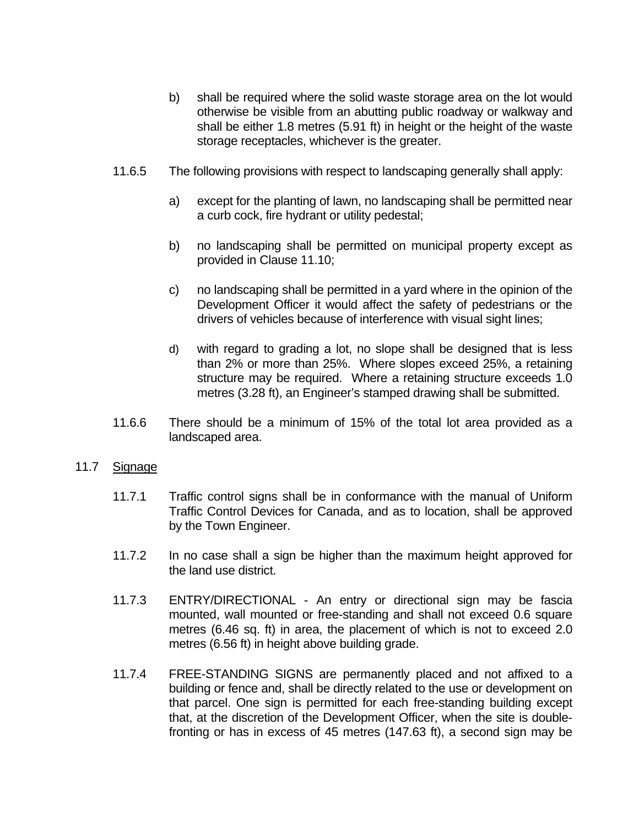- b) shall be required where the solid waste storage area on the lot would otherwise be visible from an abutting public roadway or walkway and shall be either 1.8 metres (5.91 ft) in height or the height of the waste storage receptacles, whichever is the greater.
- 11.6.5 The following provisions with respect to landscaping generally shall apply:
	- a) except for the planting of lawn, no landscaping shall be permitted near a curb cock, fire hydrant or utility pedestal;
	- b) no landscaping shall be permitted on municipal property except as provided in Clause 11.10;
	- c) no landscaping shall be permitted in a yard where in the opinion of the Development Officer it would affect the safety of pedestrians or the drivers of vehicles because of interference with visual sight lines;
	- d) with regard to grading a lot, no slope shall be designed that is less than 2% or more than 25%. Where slopes exceed 25%, a retaining structure may be required. Where a retaining structure exceeds 1.0 metres (3.28 ft), an Engineer's stamped drawing shall be submitted.
- 11.6.6 There should be a minimum of 15% of the total lot area provided as a landscaped area.

#### 11.7 Signage

- 11.7.1 Traffic control signs shall be in conformance with the manual of Uniform Traffic Control Devices for Canada, and as to location, shall be approved by the Town Engineer.
- 11.7.2 In no case shall a sign be higher than the maximum height approved for the land use district.
- 11.7.3 ENTRY/DIRECTIONAL An entry or directional sign may be fascia mounted, wall mounted or free-standing and shall not exceed 0.6 square metres (6.46 sq. ft) in area, the placement of which is not to exceed 2.0 metres (6.56 ft) in height above building grade.
- 11.7.4 FREE-STANDING SIGNS are permanently placed and not affixed to a building or fence and, shall be directly related to the use or development on that parcel. One sign is permitted for each free-standing building except that, at the discretion of the Development Officer, when the site is doublefronting or has in excess of 45 metres (147.63 ft), a second sign may be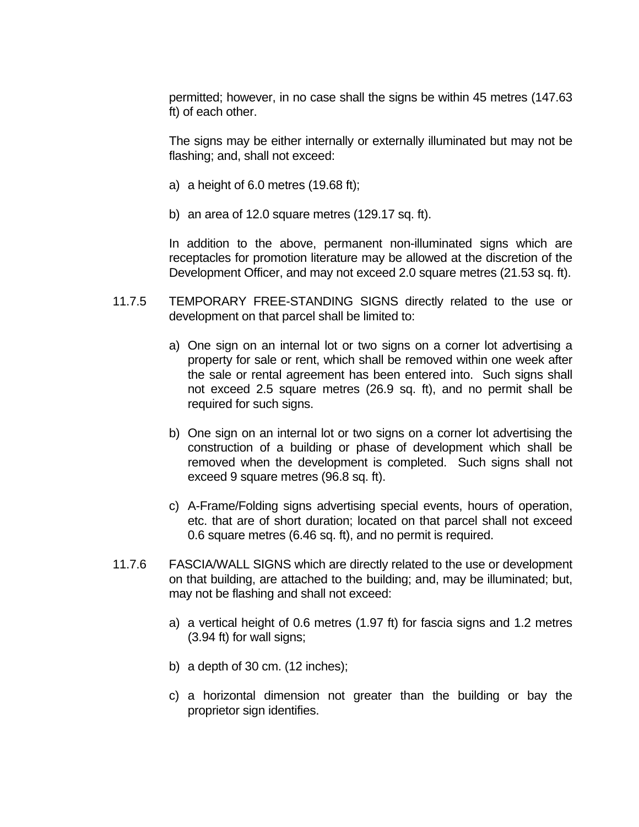permitted; however, in no case shall the signs be within 45 metres (147.63 ft) of each other.

 The signs may be either internally or externally illuminated but may not be flashing; and, shall not exceed:

- a) a height of 6.0 metres  $(19.68 \text{ ft})$ ;
- b) an area of 12.0 square metres (129.17 sq. ft).

 In addition to the above, permanent non-illuminated signs which are receptacles for promotion literature may be allowed at the discretion of the Development Officer, and may not exceed 2.0 square metres (21.53 sq. ft).

- 11.7.5 TEMPORARY FREE-STANDING SIGNS directly related to the use or development on that parcel shall be limited to:
	- a) One sign on an internal lot or two signs on a corner lot advertising a property for sale or rent, which shall be removed within one week after the sale or rental agreement has been entered into. Such signs shall not exceed 2.5 square metres (26.9 sq. ft), and no permit shall be required for such signs.
	- b) One sign on an internal lot or two signs on a corner lot advertising the construction of a building or phase of development which shall be removed when the development is completed. Such signs shall not exceed 9 square metres (96.8 sq. ft).
	- c) A-Frame/Folding signs advertising special events, hours of operation, etc. that are of short duration; located on that parcel shall not exceed 0.6 square metres (6.46 sq. ft), and no permit is required.
- 11.7.6 FASCIA/WALL SIGNS which are directly related to the use or development on that building, are attached to the building; and, may be illuminated; but, may not be flashing and shall not exceed:
	- a) a vertical height of 0.6 metres (1.97 ft) for fascia signs and 1.2 metres (3.94 ft) for wall signs;
	- b) a depth of 30 cm.  $(12 \text{ inches})$ ;
	- c) a horizontal dimension not greater than the building or bay the proprietor sign identifies.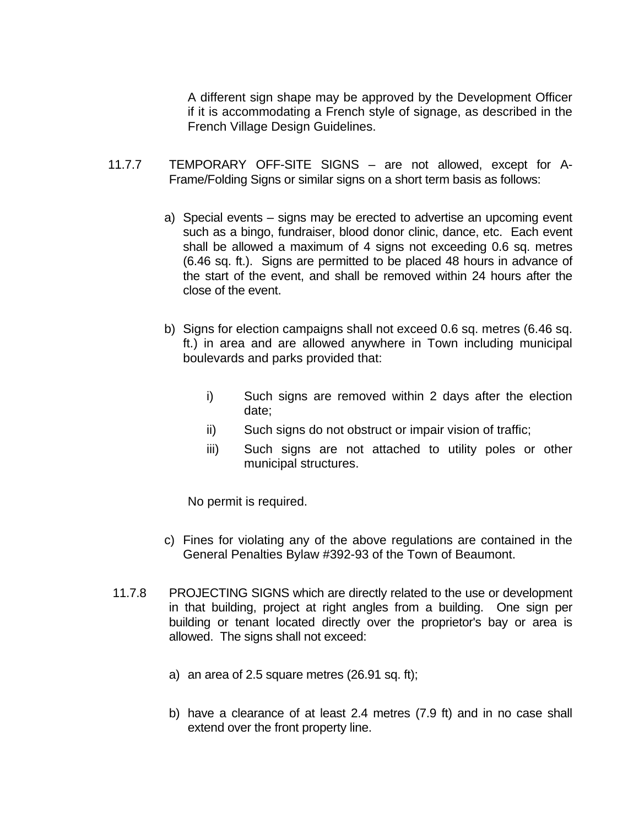A different sign shape may be approved by the Development Officer if it is accommodating a French style of signage, as described in the French Village Design Guidelines.

- 11.7.7 TEMPORARY OFF-SITE SIGNS are not allowed, except for A-Frame/Folding Signs or similar signs on a short term basis as follows:
	- a) Special events signs may be erected to advertise an upcoming event such as a bingo, fundraiser, blood donor clinic, dance, etc. Each event shall be allowed a maximum of 4 signs not exceeding 0.6 sq. metres (6.46 sq. ft.). Signs are permitted to be placed 48 hours in advance of the start of the event, and shall be removed within 24 hours after the close of the event.
	- b) Signs for election campaigns shall not exceed 0.6 sq. metres (6.46 sq. ft.) in area and are allowed anywhere in Town including municipal boulevards and parks provided that:
		- i) Such signs are removed within 2 days after the election date;
		- ii) Such signs do not obstruct or impair vision of traffic;
		- iii) Such signs are not attached to utility poles or other municipal structures.

No permit is required.

- c) Fines for violating any of the above regulations are contained in the General Penalties Bylaw #392-93 of the Town of Beaumont.
- 11.7.8 PROJECTING SIGNS which are directly related to the use or development in that building, project at right angles from a building. One sign per building or tenant located directly over the proprietor's bay or area is allowed. The signs shall not exceed:
	- a) an area of 2.5 square metres (26.91 sq. ft);
	- b) have a clearance of at least 2.4 metres (7.9 ft) and in no case shall extend over the front property line.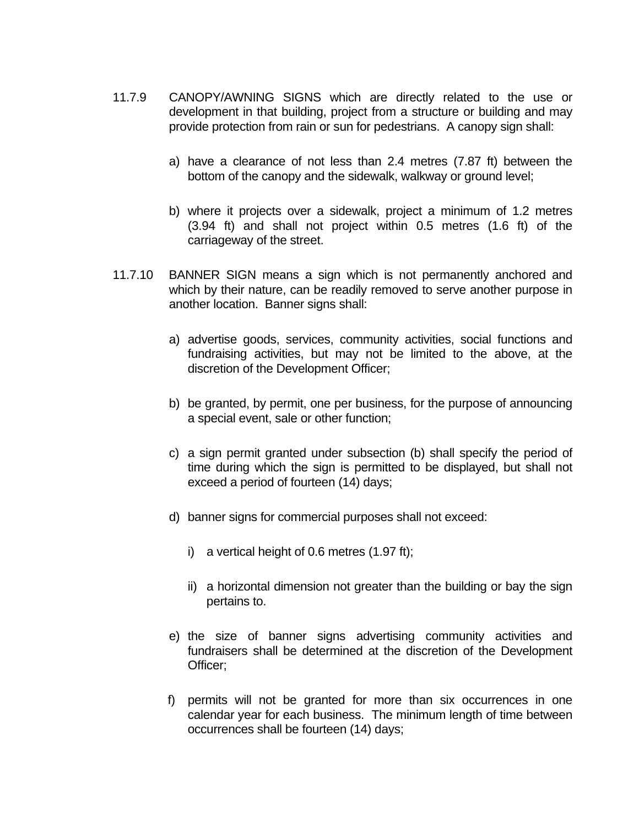- 11.7.9 CANOPY/AWNING SIGNS which are directly related to the use or development in that building, project from a structure or building and may provide protection from rain or sun for pedestrians. A canopy sign shall:
	- a) have a clearance of not less than 2.4 metres (7.87 ft) between the bottom of the canopy and the sidewalk, walkway or ground level;
	- b) where it projects over a sidewalk, project a minimum of 1.2 metres (3.94 ft) and shall not project within 0.5 metres (1.6 ft) of the carriageway of the street.
- 11.7.10 BANNER SIGN means a sign which is not permanently anchored and which by their nature, can be readily removed to serve another purpose in another location. Banner signs shall:
	- a) advertise goods, services, community activities, social functions and fundraising activities, but may not be limited to the above, at the discretion of the Development Officer;
	- b) be granted, by permit, one per business, for the purpose of announcing a special event, sale or other function;
	- c) a sign permit granted under subsection (b) shall specify the period of time during which the sign is permitted to be displayed, but shall not exceed a period of fourteen (14) days;
	- d) banner signs for commercial purposes shall not exceed:
		- i) a vertical height of 0.6 metres (1.97 ft);
		- ii) a horizontal dimension not greater than the building or bay the sign pertains to.
	- e) the size of banner signs advertising community activities and fundraisers shall be determined at the discretion of the Development Officer;
	- f) permits will not be granted for more than six occurrences in one calendar year for each business. The minimum length of time between occurrences shall be fourteen (14) days;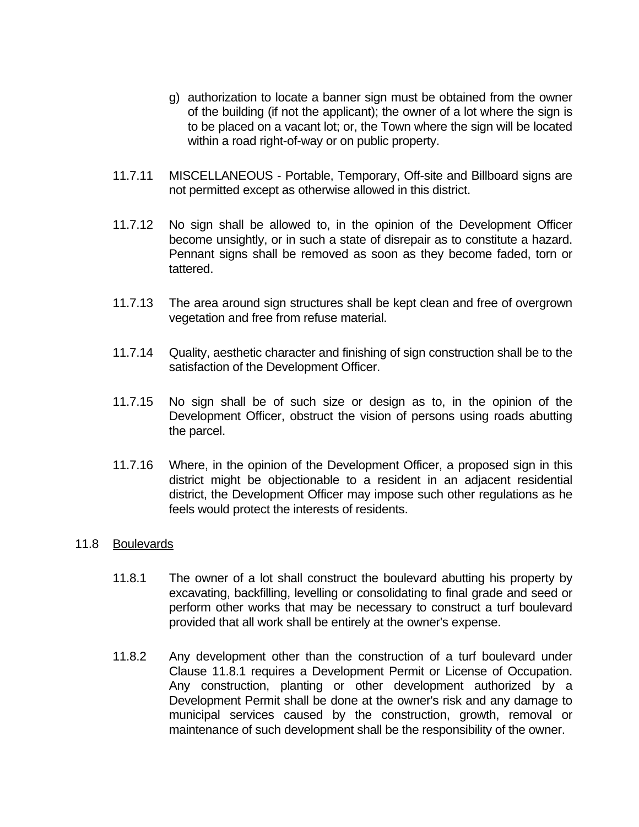- g) authorization to locate a banner sign must be obtained from the owner of the building (if not the applicant); the owner of a lot where the sign is to be placed on a vacant lot; or, the Town where the sign will be located within a road right-of-way or on public property.
- 11.7.11 MISCELLANEOUS Portable, Temporary, Off-site and Billboard signs are not permitted except as otherwise allowed in this district.
- 11.7.12 No sign shall be allowed to, in the opinion of the Development Officer become unsightly, or in such a state of disrepair as to constitute a hazard. Pennant signs shall be removed as soon as they become faded, torn or tattered.
- 11.7.13 The area around sign structures shall be kept clean and free of overgrown vegetation and free from refuse material.
- 11.7.14 Quality, aesthetic character and finishing of sign construction shall be to the satisfaction of the Development Officer.
- 11.7.15 No sign shall be of such size or design as to, in the opinion of the Development Officer, obstruct the vision of persons using roads abutting the parcel.
- 11.7.16 Where, in the opinion of the Development Officer, a proposed sign in this district might be objectionable to a resident in an adjacent residential district, the Development Officer may impose such other regulations as he feels would protect the interests of residents.

#### 11.8 Boulevards

- 11.8.1 The owner of a lot shall construct the boulevard abutting his property by excavating, backfilling, levelling or consolidating to final grade and seed or perform other works that may be necessary to construct a turf boulevard provided that all work shall be entirely at the owner's expense.
- 11.8.2 Any development other than the construction of a turf boulevard under Clause 11.8.1 requires a Development Permit or License of Occupation. Any construction, planting or other development authorized by a Development Permit shall be done at the owner's risk and any damage to municipal services caused by the construction, growth, removal or maintenance of such development shall be the responsibility of the owner.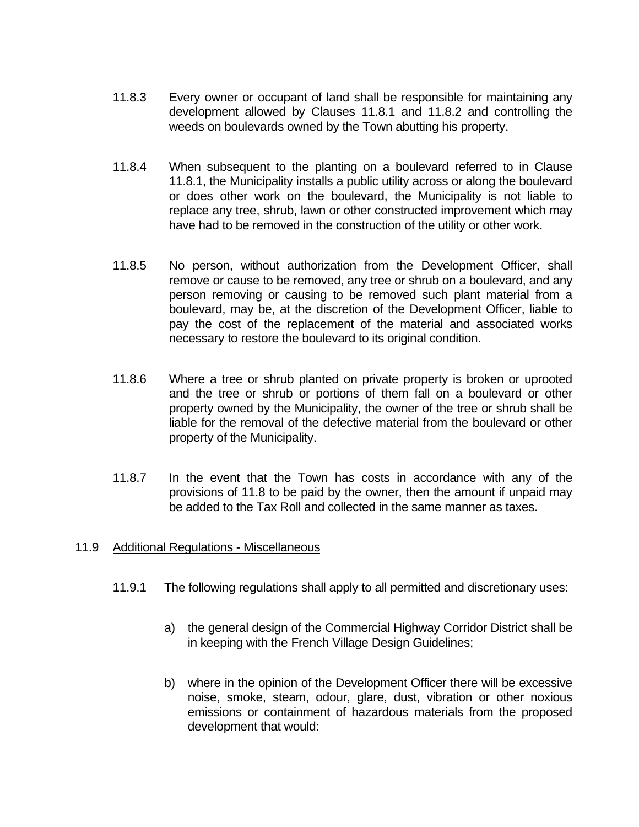- 11.8.3 Every owner or occupant of land shall be responsible for maintaining any development allowed by Clauses 11.8.1 and 11.8.2 and controlling the weeds on boulevards owned by the Town abutting his property.
- 11.8.4 When subsequent to the planting on a boulevard referred to in Clause 11.8.1, the Municipality installs a public utility across or along the boulevard or does other work on the boulevard, the Municipality is not liable to replace any tree, shrub, lawn or other constructed improvement which may have had to be removed in the construction of the utility or other work.
- 11.8.5 No person, without authorization from the Development Officer, shall remove or cause to be removed, any tree or shrub on a boulevard, and any person removing or causing to be removed such plant material from a boulevard, may be, at the discretion of the Development Officer, liable to pay the cost of the replacement of the material and associated works necessary to restore the boulevard to its original condition.
- 11.8.6 Where a tree or shrub planted on private property is broken or uprooted and the tree or shrub or portions of them fall on a boulevard or other property owned by the Municipality, the owner of the tree or shrub shall be liable for the removal of the defective material from the boulevard or other property of the Municipality.
- 11.8.7 In the event that the Town has costs in accordance with any of the provisions of 11.8 to be paid by the owner, then the amount if unpaid may be added to the Tax Roll and collected in the same manner as taxes.

# 11.9 Additional Regulations - Miscellaneous

- 11.9.1 The following regulations shall apply to all permitted and discretionary uses:
	- a) the general design of the Commercial Highway Corridor District shall be in keeping with the French Village Design Guidelines;
	- b) where in the opinion of the Development Officer there will be excessive noise, smoke, steam, odour, glare, dust, vibration or other noxious emissions or containment of hazardous materials from the proposed development that would: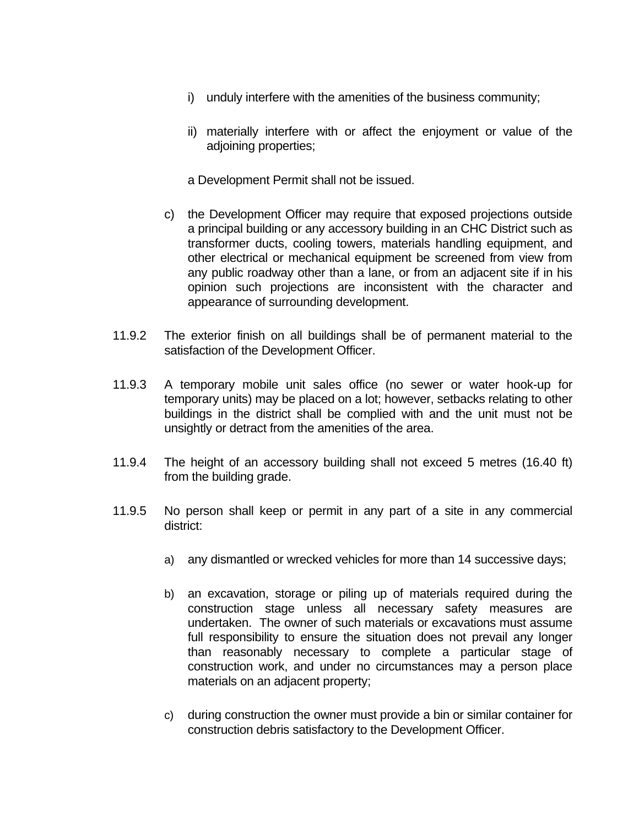- i) unduly interfere with the amenities of the business community;
- ii) materially interfere with or affect the enjoyment or value of the adjoining properties;
- a Development Permit shall not be issued.
- c) the Development Officer may require that exposed projections outside a principal building or any accessory building in an CHC District such as transformer ducts, cooling towers, materials handling equipment, and other electrical or mechanical equipment be screened from view from any public roadway other than a lane, or from an adjacent site if in his opinion such projections are inconsistent with the character and appearance of surrounding development.
- 11.9.2 The exterior finish on all buildings shall be of permanent material to the satisfaction of the Development Officer.
- 11.9.3 A temporary mobile unit sales office (no sewer or water hook-up for temporary units) may be placed on a lot; however, setbacks relating to other buildings in the district shall be complied with and the unit must not be unsightly or detract from the amenities of the area.
- 11.9.4 The height of an accessory building shall not exceed 5 metres (16.40 ft) from the building grade.
- 11.9.5 No person shall keep or permit in any part of a site in any commercial district:
	- a) any dismantled or wrecked vehicles for more than 14 successive days;
	- b) an excavation, storage or piling up of materials required during the construction stage unless all necessary safety measures are undertaken. The owner of such materials or excavations must assume full responsibility to ensure the situation does not prevail any longer than reasonably necessary to complete a particular stage of construction work, and under no circumstances may a person place materials on an adjacent property;
	- c) during construction the owner must provide a bin or similar container for construction debris satisfactory to the Development Officer.